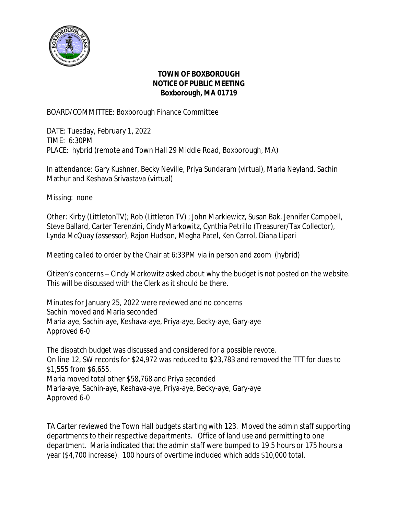

## **TOWN OF BOXBOROUGH NOTICE OF PUBLIC MEETING Boxborough, MA 01719**

BOARD/COMMITTEE: Boxborough Finance Committee

DATE: Tuesday, February 1, 2022 TIME: 6:30PM PLACE: hybrid (remote and Town Hall 29 Middle Road, Boxborough, MA)

In attendance: Gary Kushner, Becky Neville, Priya Sundaram (virtual), Maria Neyland, Sachin Mathur and Keshava Srivastava (virtual)

Missing: none

Other: Kirby (LittletonTV); Rob (Littleton TV) ; John Markiewicz, Susan Bak, Jennifer Campbell, Steve Ballard, Carter Terenzini, Cindy Markowitz, Cynthia Petrillo (Treasurer/Tax Collector), Lynda McQuay (assessor), Rajon Hudson, Megha Patel, Ken Carrol, Diana Lipari

Meeting called to order by the Chair at 6:33PM via in person and zoom (hybrid)

Citizen's concerns – Cindy Markowitz asked about why the budget is not posted on the website. This will be discussed with the Clerk as it should be there.

Minutes for January 25, 2022 were reviewed and no concerns Sachin moved and Maria seconded Maria-aye, Sachin-aye, Keshava-aye, Priya-aye, Becky-aye, Gary-aye Approved 6-0

The dispatch budget was discussed and considered for a possible revote. On line 12, SW records for \$24,972 was reduced to \$23,783 and removed the TTT for dues to \$1,555 from \$6,655. Maria moved total other \$58,768 and Priya seconded Maria-aye, Sachin-aye, Keshava-aye, Priya-aye, Becky-aye, Gary-aye Approved 6-0

TA Carter reviewed the Town Hall budgets starting with 123. Moved the admin staff supporting departments to their respective departments. Office of land use and permitting to one department. Maria indicated that the admin staff were bumped to 19.5 hours or 175 hours a year (\$4,700 increase). 100 hours of overtime included which adds \$10,000 total.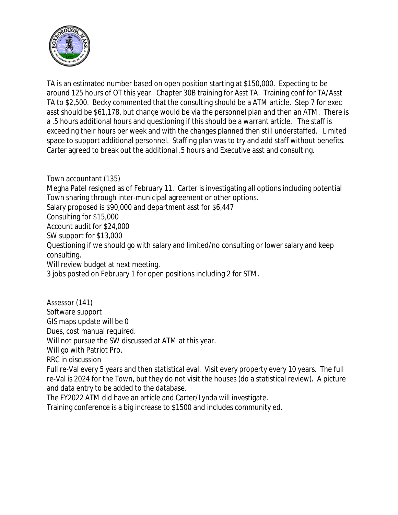

TA is an estimated number based on open position starting at \$150,000. Expecting to be around 125 hours of OT this year. Chapter 30B training for Asst TA. Training conf for TA/Asst TA to \$2,500. Becky commented that the consulting should be a ATM article. Step 7 for exec asst should be \$61,178, but change would be via the personnel plan and then an ATM. There is a .5 hours additional hours and questioning if this should be a warrant article. The staff is exceeding their hours per week and with the changes planned then still understaffed. Limited space to support additional personnel. Staffing plan was to try and add staff without benefits. Carter agreed to break out the additional .5 hours and Executive asst and consulting.

Town accountant (135)

Megha Patel resigned as of February 11. Carter is investigating all options including potential Town sharing through inter-municipal agreement or other options. Salary proposed is \$90,000 and department asst for \$6,447 Consulting for \$15,000 Account audit for \$24,000 SW support for \$13,000 Questioning if we should go with salary and limited/no consulting or lower salary and keep consulting. Will review budget at next meeting. 3 jobs posted on February 1 for open positions including 2 for STM.

Assessor (141) Software support GIS maps update will be 0 Dues, cost manual required. Will not pursue the SW discussed at ATM at this year. Will go with Patriot Pro. RRC in discussion Full re-Val every 5 years and then statistical eval. Visit every property every 10 years. The full re-Val is 2024 for the Town, but they do not visit the houses (do a statistical review). A picture and data entry to be added to the database.

The FY2022 ATM did have an article and Carter/Lynda will investigate.

Training conference is a big increase to \$1500 and includes community ed.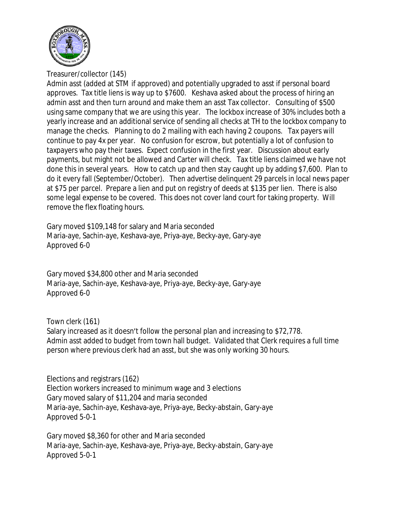

Treasurer/collector (145)

Admin asst (added at STM if approved) and potentially upgraded to asst if personal board approves. Tax title liens is way up to \$7600. Keshava asked about the process of hiring an admin asst and then turn around and make them an asst Tax collector. Consulting of \$500 using same company that we are using this year. The lockbox increase of 30% includes both a yearly increase and an additional service of sending all checks at TH to the lockbox company to manage the checks. Planning to do 2 mailing with each having 2 coupons. Tax payers will continue to pay 4x per year. No confusion for escrow, but potentially a lot of confusion to taxpayers who pay their taxes. Expect confusion in the first year. Discussion about early payments, but might not be allowed and Carter will check. Tax title liens claimed we have not done this in several years. How to catch up and then stay caught up by adding \$7,600. Plan to do it every fall (September/October). Then advertise delinquent 29 parcels in local news paper at \$75 per parcel. Prepare a lien and put on registry of deeds at \$135 per lien. There is also some legal expense to be covered. This does not cover land court for taking property. Will remove the flex floating hours.

Gary moved \$109,148 for salary and Maria seconded Maria-aye, Sachin-aye, Keshava-aye, Priya-aye, Becky-aye, Gary-aye Approved 6-0

Gary moved \$34,800 other and Maria seconded Maria-aye, Sachin-aye, Keshava-aye, Priya-aye, Becky-aye, Gary-aye Approved 6-0

Town clerk (161) Salary increased as it doesn't follow the personal plan and increasing to \$72,778. Admin asst added to budget from town hall budget. Validated that Clerk requires a full time person where previous clerk had an asst, but she was only working 30 hours.

Elections and registrars (162) Election workers increased to minimum wage and 3 elections Gary moved salary of \$11,204 and maria seconded Maria-aye, Sachin-aye, Keshava-aye, Priya-aye, Becky-abstain, Gary-aye Approved 5-0-1

Gary moved \$8,360 for other and Maria seconded Maria-aye, Sachin-aye, Keshava-aye, Priya-aye, Becky-abstain, Gary-aye Approved 5-0-1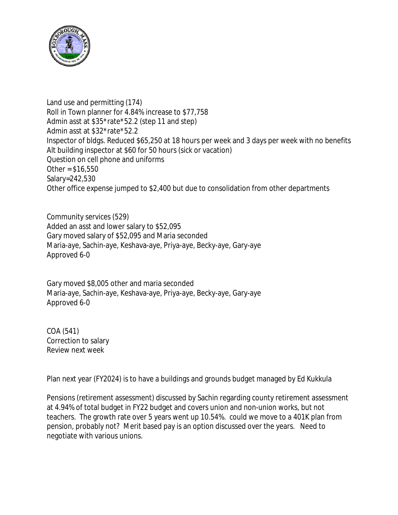

Land use and permitting (174) Roll in Town planner for 4.84% increase to \$77,758 Admin asst at \$35\*rate\*52.2 (step 11 and step) Admin asst at \$32\*rate\*52.2 Inspector of bldgs. Reduced \$65,250 at 18 hours per week and 3 days per week with no benefits Alt building inspector at \$60 for 50 hours (sick or vacation) Question on cell phone and uniforms Other =  $$16,550$ Salary=242,530 Other office expense jumped to \$2,400 but due to consolidation from other departments

Community services (529) Added an asst and lower salary to \$52,095 Gary moved salary of \$52,095 and Maria seconded Maria-aye, Sachin-aye, Keshava-aye, Priya-aye, Becky-aye, Gary-aye Approved 6-0

Gary moved \$8,005 other and maria seconded Maria-aye, Sachin-aye, Keshava-aye, Priya-aye, Becky-aye, Gary-aye Approved 6-0

COA (541) Correction to salary Review next week

Plan next year (FY2024) is to have a buildings and grounds budget managed by Ed Kukkula

Pensions (retirement assessment) discussed by Sachin regarding county retirement assessment at 4.94% of total budget in FY22 budget and covers union and non-union works, but not teachers. The growth rate over 5 years went up 10.54%. could we move to a 401K plan from pension, probably not? Merit based pay is an option discussed over the years. Need to negotiate with various unions.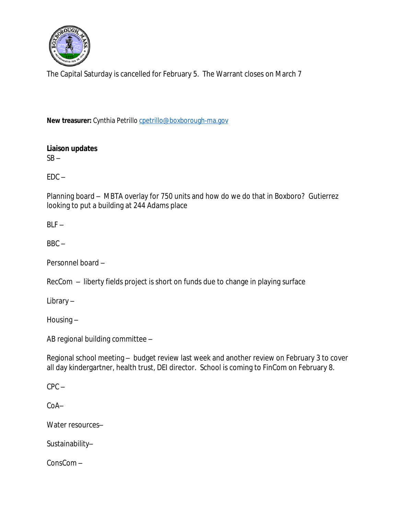

The Capital Saturday is cancelled for February 5. The Warrant closes on March 7

New treasurer: Cynthia Petrillo [cpetrillo@boxborough-ma.gov](mailto:cpetrillo@boxborough-ma.gov)

**[Liaison updates](mailto:cpetrillo@boxborough-ma.gov)**  $SB SB -$ 

 $EDC EDC -$ 

[Planning board](mailto:cpetrillo@boxborough-ma.gov) [–](mailto:cpetrillo@boxborough-ma.gov) [MBTA overlay for 750 units and how do we do that in Boxboro? Gutierrez](mailto:cpetrillo@boxborough-ma.gov)  [looking to put a building at 244 Adams place](mailto:cpetrillo@boxborough-ma.gov)

 $BLF BLF -$ 

 $BBC BBC -$ 

[Personnel board](mailto:cpetrillo@boxborough-ma.gov) [–](mailto:cpetrillo@boxborough-ma.gov)

[RecCom](mailto:cpetrillo@boxborough-ma.gov) [–](mailto:cpetrillo@boxborough-ma.gov) [liberty fields project is short on funds due to change in playing surface](mailto:cpetrillo@boxborough-ma.gov)

[Library](mailto:cpetrillo@boxborough-ma.gov) [–](mailto:cpetrillo@boxborough-ma.gov)

[Housing](mailto:cpetrillo@boxborough-ma.gov) [–](mailto:cpetrillo@boxborough-ma.gov)

[AB regional building committee](mailto:cpetrillo@boxborough-ma.gov) [–](mailto:cpetrillo@boxborough-ma.gov)

[Regional school meeting](mailto:cpetrillo@boxborough-ma.gov) [–](mailto:cpetrillo@boxborough-ma.gov) [budget review last week and another review on February 3 to cover](mailto:cpetrillo@boxborough-ma.gov)  [all day kindergartner, health trust, DEI director. School is coming to FinCom on February 8.](mailto:cpetrillo@boxborough-ma.gov)

 $CPC CPC -$ 

[CoA](mailto:cpetrillo@boxborough-ma.gov)[–](mailto:cpetrillo@boxborough-ma.gov)

[Water resources](mailto:cpetrillo@boxborough-ma.gov)[–](mailto:cpetrillo@boxborough-ma.gov)

[Sustainability](mailto:cpetrillo@boxborough-ma.gov)[–](mailto:cpetrillo@boxborough-ma.gov)

[ConsCom](mailto:cpetrillo@boxborough-ma.gov) [–](mailto:cpetrillo@boxborough-ma.gov)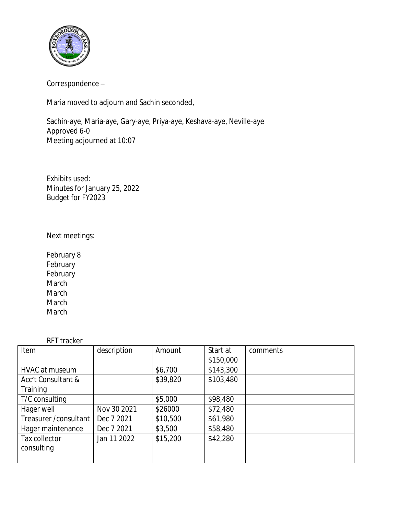

Correspondence –

Maria moved to adjourn and Sachin seconded,

Sachin-aye, Maria-aye, Gary-aye, Priya-aye, Keshava-aye, Neville-aye Approved 6-0 Meeting adjourned at 10:07

Exhibits used: Minutes for January 25, 2022 Budget for FY2023

## Next meetings:

February 8 **February February** March March March March

## RFT tracker

| Item                   | description | Amount   | Start at  | comments |
|------------------------|-------------|----------|-----------|----------|
|                        |             |          | \$150,000 |          |
| HVAC at museum         |             | \$6,700  | \$143,300 |          |
| Acc't Consultant &     |             | \$39,820 | \$103,480 |          |
| Training               |             |          |           |          |
| T/C consulting         |             | \$5,000  | \$98,480  |          |
| Hager well             | Nov 30 2021 | \$26000  | \$72,480  |          |
| Treasurer / consultant | Dec 7 2021  | \$10,500 | \$61,980  |          |
| Hager maintenance      | Dec 7 2021  | \$3,500  | \$58,480  |          |
| Tax collector          | Jan 11 2022 | \$15,200 | \$42,280  |          |
| consulting             |             |          |           |          |
|                        |             |          |           |          |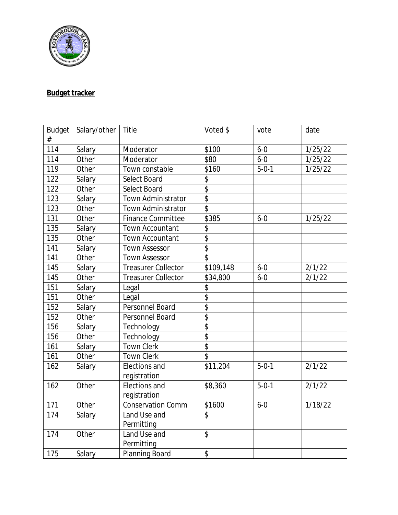

## **Budget tracker**

| <b>Budget</b> | Salary/other | Title                      | Voted \$                 | vote        | date    |
|---------------|--------------|----------------------------|--------------------------|-------------|---------|
| #             |              |                            |                          |             |         |
| 114           | Salary       | Moderator                  | \$100                    | $6 - 0$     | 1/25/22 |
| 114           | Other        | Moderator                  | \$80                     | $6 - 0$     | 1/25/22 |
| 119           | Other        | Town constable             | \$160                    | $5 - 0 - 1$ | 1/25/22 |
| 122           | Salary       | Select Board               | \$                       |             |         |
| 122           | Other        | Select Board               | $\overline{\$}$          |             |         |
| 123           | Salary       | Town Administrator         | $\overline{\$}$          |             |         |
| 123           | Other        | Town Administrator         | $\overline{\$}$          |             |         |
| 131           | Other        | <b>Finance Committee</b>   | \$385                    | $6 - 0$     | 1/25/22 |
| 135           | Salary       | Town Accountant            | \$                       |             |         |
| 135           | Other        | <b>Town Accountant</b>     | $\overline{\$}$          |             |         |
| 141           | Salary       | <b>Town Assessor</b>       | $\overline{\$}$          |             |         |
| 141           | Other        | <b>Town Assessor</b>       | $\overline{\mathcal{S}}$ |             |         |
| 145           | Salary       | <b>Treasurer Collector</b> | \$109,148                | $6 - 0$     | 2/1/22  |
| 145           | Other        | <b>Treasurer Collector</b> | \$34,800                 | $6 - 0$     | 2/1/22  |
| 151           | Salary       | Legal                      | \$                       |             |         |
| 151           | Other        | Legal                      | $\overline{\$}$          |             |         |
| 152           | Salary       | Personnel Board            | $\overline{\$}$          |             |         |
| 152           | Other        | Personnel Board            | $\overline{\$}$          |             |         |
| 156           | Salary       | Technology                 | $\overline{\$}$          |             |         |
| 156           | Other        | Technology                 | $\overline{\$}$          |             |         |
| 161           | Salary       | <b>Town Clerk</b>          | $\overline{\$}$          |             |         |
| 161           | Other        | <b>Town Clerk</b>          | $\overline{\mathcal{S}}$ |             |         |
| 162           | Salary       | Elections and              | \$11,204                 | $5 - 0 - 1$ | 2/1/22  |
|               |              | registration               |                          |             |         |
| 162           | Other        | Elections and              | \$8,360                  | $5 - 0 - 1$ | 2/1/22  |
|               |              | registration               |                          |             |         |
| 171           | Other        | <b>Conservation Comm</b>   | \$1600                   | $6 - 0$     | 1/18/22 |
| 174           | Salary       | Land Use and               | \$                       |             |         |
|               |              | Permitting                 |                          |             |         |
| 174           | Other        | Land Use and               | \$                       |             |         |
|               |              | Permitting                 |                          |             |         |
| 175           | Salary       | Planning Board             | \$                       |             |         |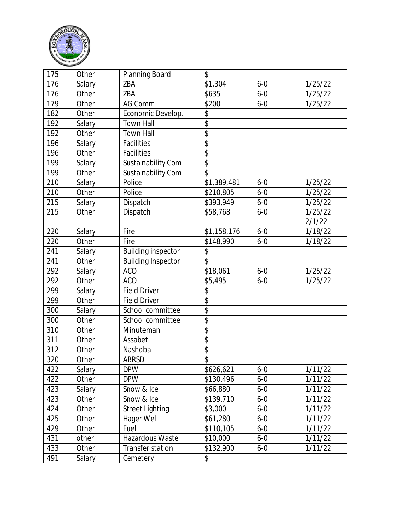

| 175 | Other  | Planning Board            | \$                       |         |         |
|-----|--------|---------------------------|--------------------------|---------|---------|
| 176 | Salary | ZBA                       | \$1,304                  | $6 - 0$ | 1/25/22 |
| 176 | Other  | ZBA                       | \$635                    | $6 - 0$ | 1/25/22 |
| 179 | Other  | AG Comm                   | \$200                    | $6 - 0$ | 1/25/22 |
| 182 | Other  | Economic Develop.         | \$                       |         |         |
| 192 | Salary | <b>Town Hall</b>          | $\overline{\$}$          |         |         |
| 192 | Other  | <b>Town Hall</b>          | $\overline{\$}$          |         |         |
| 196 | Salary | Facilities                | \$                       |         |         |
| 196 | Other  | Facilities                | \$                       |         |         |
| 199 | Salary | Sustainability Com        | $\overline{\$}$          |         |         |
| 199 | Other  | Sustainability Com        | \$                       |         |         |
| 210 | Salary | Police                    | \$1,389,481              | $6 - 0$ | 1/25/22 |
| 210 | Other  | Police                    | \$210,805                | $6 - 0$ | 1/25/22 |
| 215 | Salary | Dispatch                  | \$393,949                | $6 - 0$ | 1/25/22 |
| 215 | Other  | Dispatch                  | \$58,768                 | $6 - 0$ | 1/25/22 |
|     |        |                           |                          |         | 2/1/22  |
| 220 | Salary | Fire                      | \$1,158,176              | $6 - 0$ | 1/18/22 |
| 220 | Other  | Fire                      | \$148,990                | $6 - 0$ | 1/18/22 |
| 241 | Salary | <b>Building inspector</b> | \$                       |         |         |
| 241 | Other  | <b>Building Inspector</b> | \$                       |         |         |
| 292 | Salary | <b>ACO</b>                | \$18,061                 | $6 - 0$ | 1/25/22 |
| 292 | Other  | <b>ACO</b>                | \$5,495                  | $6 - 0$ | 1/25/22 |
| 299 | Salary | <b>Field Driver</b>       | \$                       |         |         |
| 299 | Other  | <b>Field Driver</b>       | $\overline{\mathcal{L}}$ |         |         |
| 300 | Salary | School committee          | $\overline{\$}$          |         |         |
| 300 | Other  | School committee          | $\overline{\$}$          |         |         |
| 310 | Other  | Minuteman                 | $\overline{\mathbb{S}}$  |         |         |
| 311 | Other  | Assabet                   | \$                       |         |         |
| 312 | Other  | Nashoba                   | \$                       |         |         |
| 320 | Other  | <b>ABRSD</b>              | $\overline{\$}$          |         |         |
| 422 | Salary | <b>DPW</b>                | \$626,621                | $6 - 0$ | 1/11/22 |
| 422 | Other  | <b>DPW</b>                | \$130,496                | $6 - 0$ | 1/11/22 |
| 423 | Salary | Snow & Ice                | \$66,880                 | $6 - 0$ | 1/11/22 |
| 423 | Other  | Snow & Ice                | \$139,710                | $6 - 0$ | 1/11/22 |
| 424 | Other  | <b>Street Lighting</b>    | \$3,000                  | $6 - 0$ | 1/11/22 |
| 425 | Other  | Hager Well                | \$61,280                 | $6 - 0$ | 1/11/22 |
| 429 | Other  | Fuel                      | \$110,105                | $6 - 0$ | 1/11/22 |
| 431 | other  | Hazardous Waste           | \$10,000                 | $6 - 0$ | 1/11/22 |
| 433 | Other  | <b>Transfer station</b>   | \$132,900                | $6 - 0$ | 1/11/22 |
| 491 | Salary | Cemetery                  | \$                       |         |         |